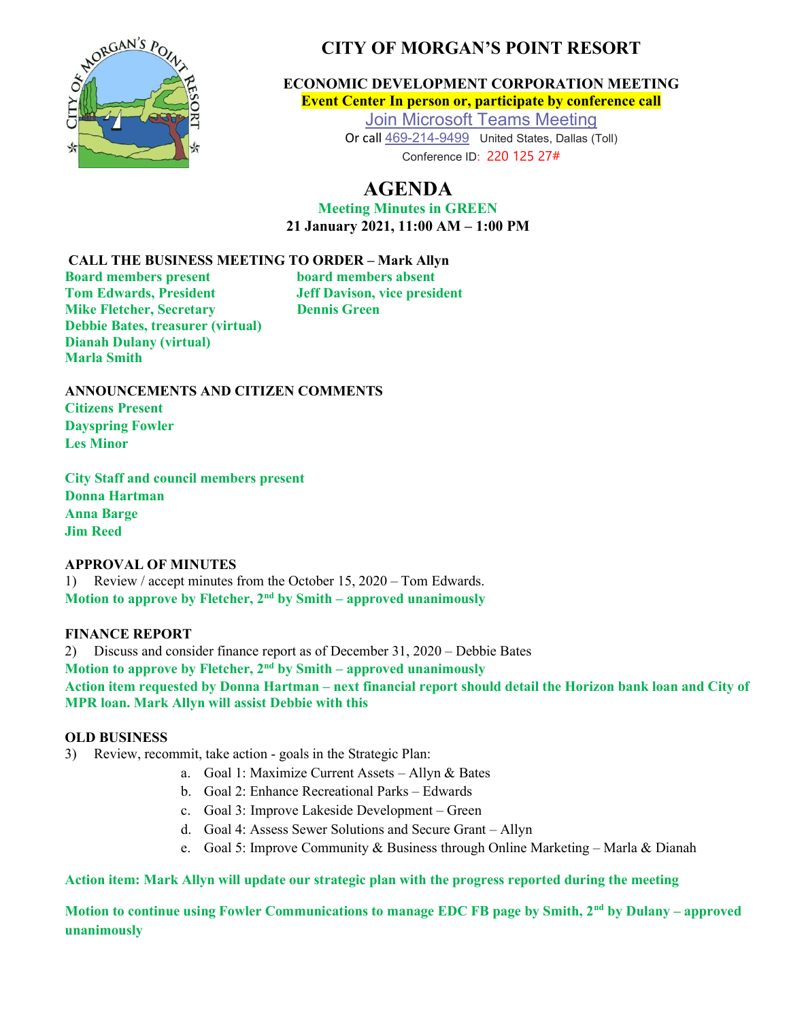

# CITY OF MORGAN'S POINT RESORT

ECONOMIC DEVELOPMENT CORPORATION MEETING Event Center In person or, participate by conference call

> Join Microsoft Teams Meeting Or call 469-214-9499 United States, Dallas (Toll) Conference ID: 220 125 27#

# AGENDA

Meeting Minutes in GREEN 21 January 2021, 11:00 AM – 1:00 PM

## CALL THE BUSINESS MEETING TO ORDER – Mark Allyn

Board members present board members absent Tom Edwards, President Jeff Davison, vice president **Mike Fletcher, Secretary Dennis Green** Debbie Bates, treasurer (virtual) Dianah Dulany (virtual) Marla Smith

ANNOUNCEMENTS AND CITIZEN COMMENTS Citizens Present Dayspring Fowler Les Minor

City Staff and council members present Donna Hartman Anna Barge Jim Reed

## APPROVAL OF MINUTES

1) Review / accept minutes from the October 15, 2020 – Tom Edwards. Motion to approve by Fletcher,  $2<sup>nd</sup>$  by Smith – approved unanimously

## FINANCE REPORT

2) Discuss and consider finance report as of December 31, 2020 – Debbie Bates Motion to approve by Fletcher,  $2<sup>nd</sup>$  by Smith – approved unanimously Action item requested by Donna Hartman – next financial report should detail the Horizon bank loan and City of MPR loan. Mark Allyn will assist Debbie with this

## OLD BUSINESS

3) Review, recommit, take action - goals in the Strategic Plan:

- a. Goal 1: Maximize Current Assets Allyn & Bates
- b. Goal 2: Enhance Recreational Parks Edwards
- c. Goal 3: Improve Lakeside Development Green
- d. Goal 4: Assess Sewer Solutions and Secure Grant Allyn
- e. Goal 5: Improve Community & Business through Online Marketing Marla & Dianah

Action item: Mark Allyn will update our strategic plan with the progress reported during the meeting

Motion to continue using Fowler Communications to manage EDC FB page by Smith, 2<sup>nd</sup> by Dulany – approved unanimously